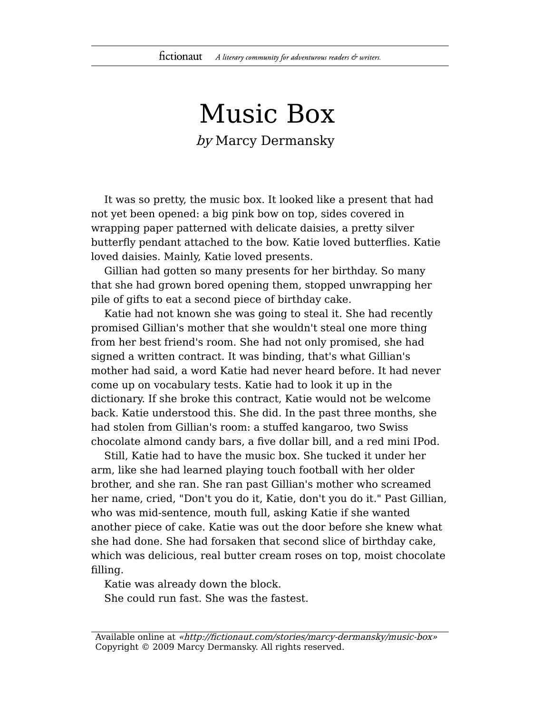## Music Box by Marcy Dermansky

It was so pretty, the music box. It looked like a present that had not yet been opened: a big pink bow on top, sides covered in wrapping paper patterned with delicate daisies, a pretty silver butterfly pendant attached to the bow. Katie loved butterflies. Katie loved daisies. Mainly, Katie loved presents.

Gillian had gotten so many presents for her birthday. So many that she had grown bored opening them, stopped unwrapping her pile of gifts to eat a second piece of birthday cake.

Katie had not known she was going to steal it. She had recently promised Gillian's mother that she wouldn't steal one more thing from her best friend's room. She had not only promised, she had signed a written contract. It was binding, that's what Gillian's mother had said, a word Katie had never heard before. It had never come up on vocabulary tests. Katie had to look it up in the dictionary. If she broke this contract, Katie would not be welcome back. Katie understood this. She did. In the past three months, she had stolen from Gillian's room: a stuffed kangaroo, two Swiss chocolate almond candy bars, a five dollar bill, and a red mini IPod.

Still, Katie had to have the music box. She tucked it under her arm, like she had learned playing touch football with her older brother, and she ran. She ran past Gillian's mother who screamed her name, cried, "Don't you do it, Katie, don't you do it." Past Gillian, who was mid-sentence, mouth full, asking Katie if she wanted another piece of cake. Katie was out the door before she knew what she had done. She had forsaken that second slice of birthday cake, which was delicious, real butter cream roses on top, moist chocolate filling.

Katie was already down the block. She could run fast. She was the fastest.

Available online at «http://fictionaut.com/stories/marcy-dermansky/music-box» Copyright © 2009 Marcy Dermansky. All rights reserved.